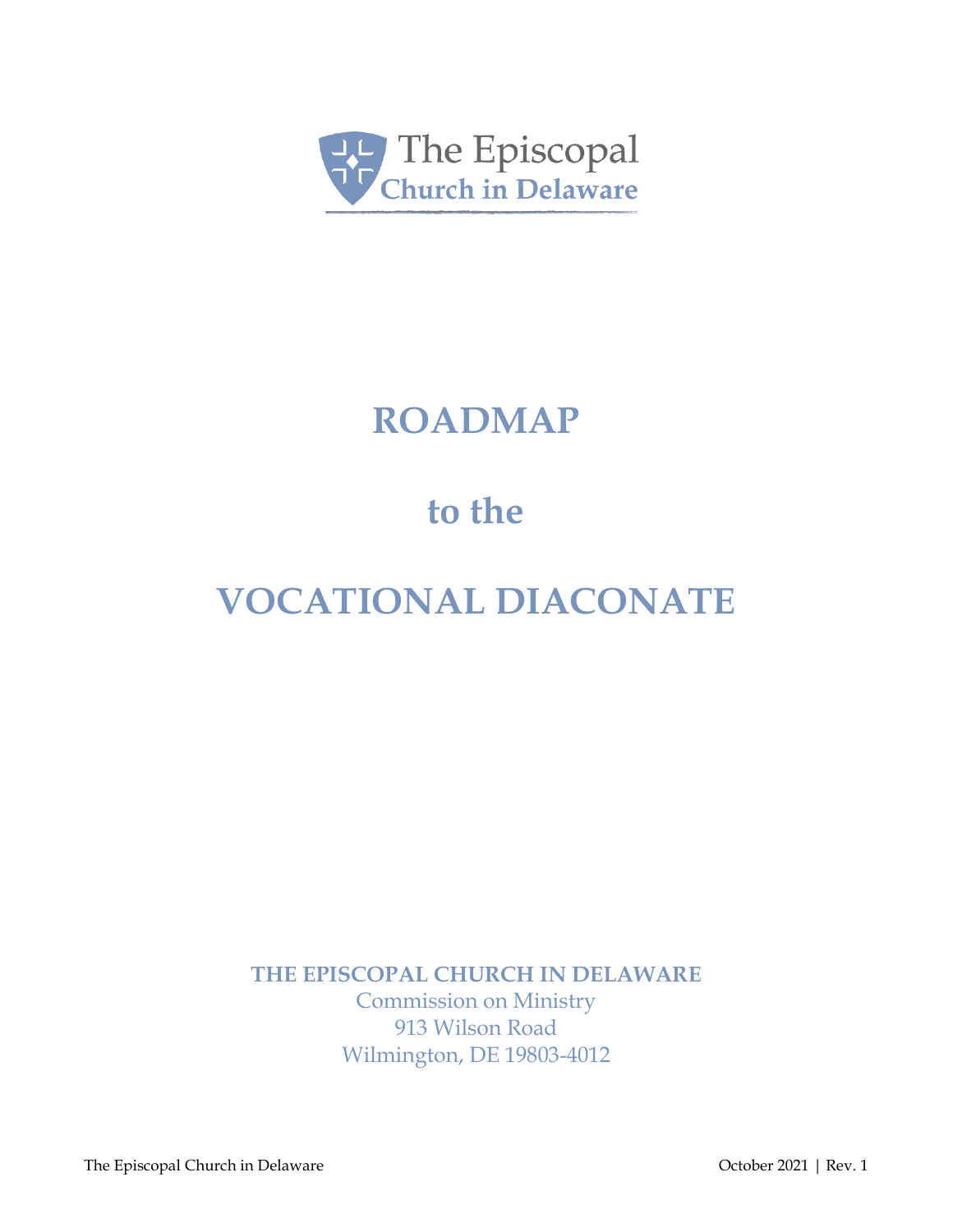

# **ROADMAP**

# **to the**

# **VOCATIONAL DIACONATE**

**THE EPISCOPAL CHURCH IN DELAWARE**

Commission on Ministry 913 Wilson Road Wilmington, DE 19803-4012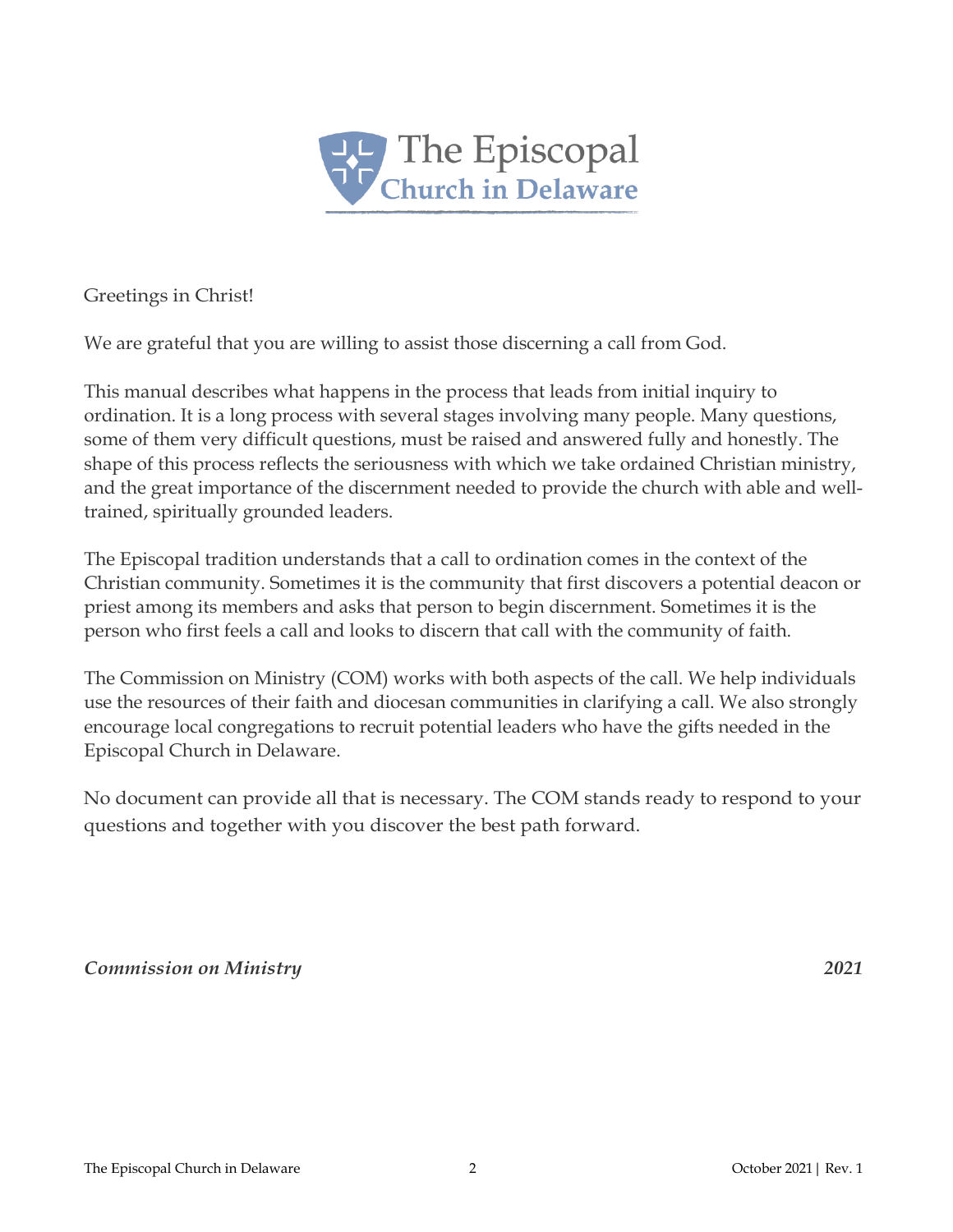

Greetings in Christ!

We are grateful that you are willing to assist those discerning a call from God.

This manual describes what happens in the process that leads from initial inquiry to ordination. It is a long process with several stages involving many people. Many questions, some of them very difficult questions, must be raised and answered fully and honestly. The shape of this process reflects the seriousness with which we take ordained Christian ministry, and the great importance of the discernment needed to provide the church with able and welltrained, spiritually grounded leaders.

The Episcopal tradition understands that a call to ordination comes in the context of the Christian community. Sometimes it is the community that first discovers a potential deacon or priest among its members and asks that person to begin discernment. Sometimes it is the person who first feels a call and looks to discern that call with the community of faith.

The Commission on Ministry (COM) works with both aspects of the call. We help individuals use the resources of their faith and diocesan communities in clarifying a call. We also strongly encourage local congregations to recruit potential leaders who have the gifts needed in the Episcopal Church in Delaware.

No document can provide all that is necessary. The COM stands ready to respond to your questions and together with you discover the best path forward.

#### *Commission on Ministry 2021*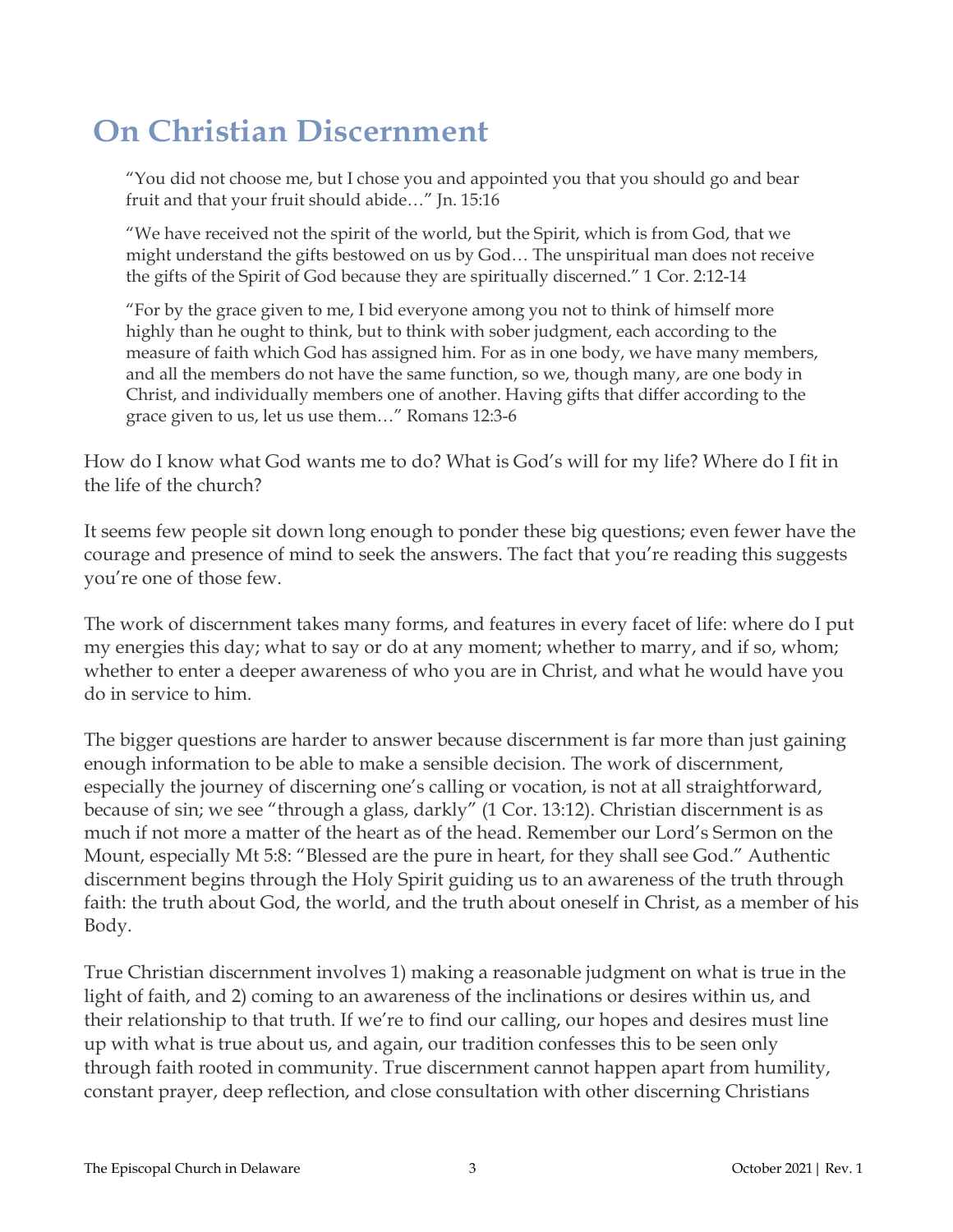## **On Christian Discernment**

"You did not choose me, but I chose you and appointed you that you should go and bear fruit and that your fruit should abide…" Jn. 15:16

"We have received not the spirit of the world, but the Spirit, which is from God, that we might understand the gifts bestowed on us by God… The unspiritual man does not receive the gifts of the Spirit of God because they are spiritually discerned." 1 Cor. 2:12-14

"For by the grace given to me, I bid everyone among you not to think of himself more highly than he ought to think, but to think with sober judgment, each according to the measure of faith which God has assigned him. For as in one body, we have many members, and all the members do not have the same function, so we, though many, are one body in Christ, and individually members one of another. Having gifts that differ according to the grace given to us, let us use them…" Romans 12:3-6

How do I know what God wants me to do? What is God's will for my life? Where do I fit in the life of the church?

It seems few people sit down long enough to ponder these big questions; even fewer have the courage and presence of mind to seek the answers. The fact that you're reading this suggests you're one of those few.

The work of discernment takes many forms, and features in every facet of life: where do I put my energies this day; what to say or do at any moment; whether to marry, and if so, whom; whether to enter a deeper awareness of who you are in Christ, and what he would have you do in service to him.

The bigger questions are harder to answer because discernment is far more than just gaining enough information to be able to make a sensible decision. The work of discernment, especially the journey of discerning one's calling or vocation, is not at all straightforward, because of sin; we see "through a glass, darkly" (1 Cor. 13:12). Christian discernment is as much if not more a matter of the heart as of the head. Remember our Lord's Sermon on the Mount, especially Mt 5:8: "Blessed are the pure in heart, for they shall see God." Authentic discernment begins through the Holy Spirit guiding us to an awareness of the truth through faith: the truth about God, the world, and the truth about oneself in Christ, as a member of his Body.

True Christian discernment involves 1) making a reasonable judgment on what is true in the light of faith, and 2) coming to an awareness of the inclinations or desires within us, and their relationship to that truth. If we're to find our calling, our hopes and desires must line up with what is true about us, and again, our tradition confesses this to be seen only through faith rooted in community. True discernment cannot happen apart from humility, constant prayer, deep reflection, and close consultation with other discerning Christians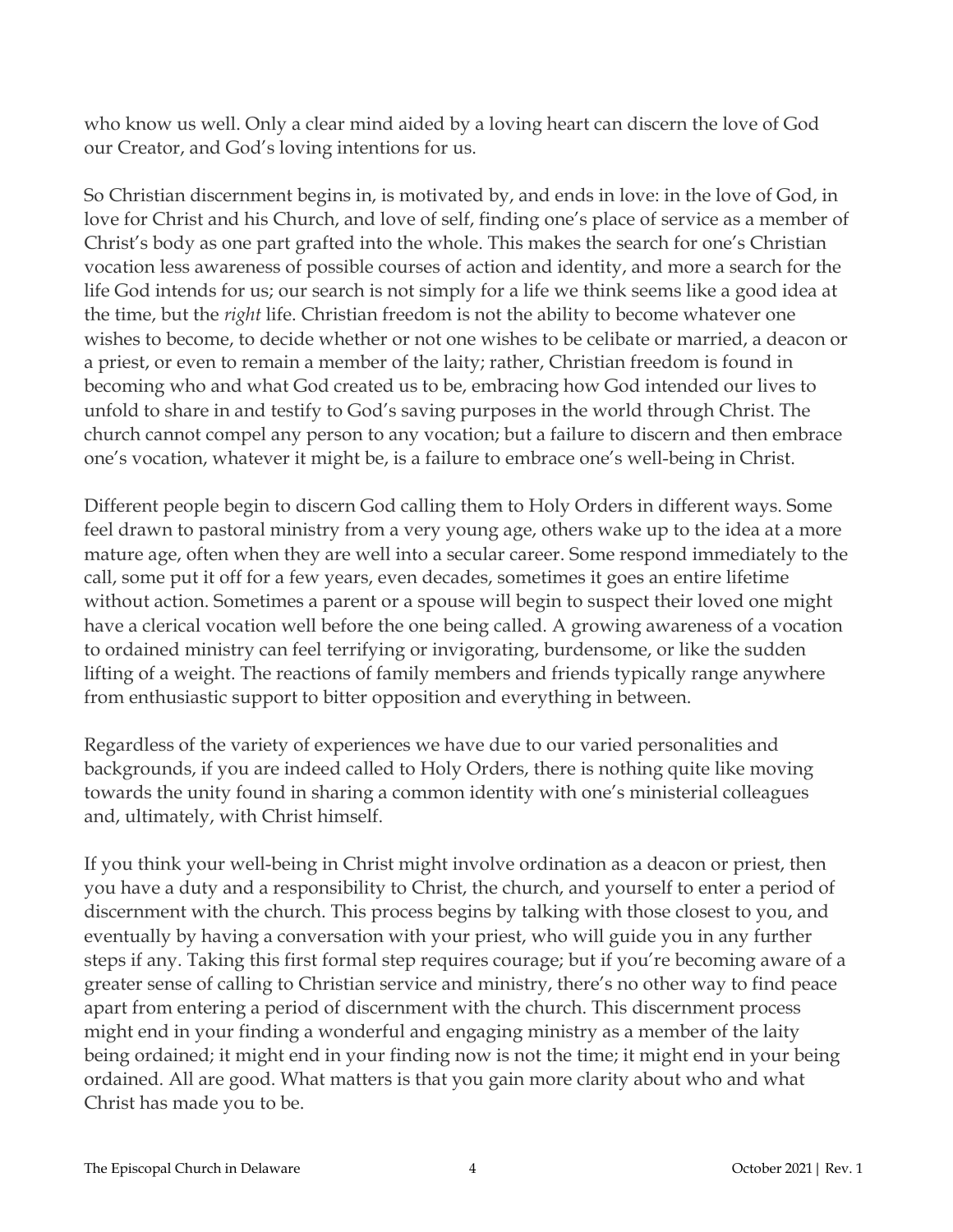who know us well. Only a clear mind aided by a loving heart can discern the love of God our Creator, and God's loving intentions for us.

So Christian discernment begins in, is motivated by, and ends in love: in the love of God, in love for Christ and his Church, and love of self, finding one's place of service as a member of Christ's body as one part grafted into the whole. This makes the search for one's Christian vocation less awareness of possible courses of action and identity, and more a search for the life God intends for us; our search is not simply for a life we think seems like a good idea at the time, but the *right* life. Christian freedom is not the ability to become whatever one wishes to become, to decide whether or not one wishes to be celibate or married, a deacon or a priest, or even to remain a member of the laity; rather, Christian freedom is found in becoming who and what God created us to be, embracing how God intended our lives to unfold to share in and testify to God's saving purposes in the world through Christ. The church cannot compel any person to any vocation; but a failure to discern and then embrace one's vocation, whatever it might be, is a failure to embrace one's well-being in Christ.

Different people begin to discern God calling them to Holy Orders in different ways. Some feel drawn to pastoral ministry from a very young age, others wake up to the idea at a more mature age, often when they are well into a secular career. Some respond immediately to the call, some put it off for a few years, even decades, sometimes it goes an entire lifetime without action. Sometimes a parent or a spouse will begin to suspect their loved one might have a clerical vocation well before the one being called. A growing awareness of a vocation to ordained ministry can feel terrifying or invigorating, burdensome, or like the sudden lifting of a weight. The reactions of family members and friends typically range anywhere from enthusiastic support to bitter opposition and everything in between.

Regardless of the variety of experiences we have due to our varied personalities and backgrounds, if you are indeed called to Holy Orders, there is nothing quite like moving towards the unity found in sharing a common identity with one's ministerial colleagues and, ultimately, with Christ himself.

If you think your well-being in Christ might involve ordination as a deacon or priest, then you have a duty and a responsibility to Christ, the church, and yourself to enter a period of discernment with the church. This process begins by talking with those closest to you, and eventually by having a conversation with your priest, who will guide you in any further steps if any. Taking this first formal step requires courage; but if you're becoming aware of a greater sense of calling to Christian service and ministry, there's no other way to find peace apart from entering a period of discernment with the church. This discernment process might end in your finding a wonderful and engaging ministry as a member of the laity being ordained; it might end in your finding now is not the time; it might end in your being ordained. All are good. What matters is that you gain more clarity about who and what Christ has made you to be.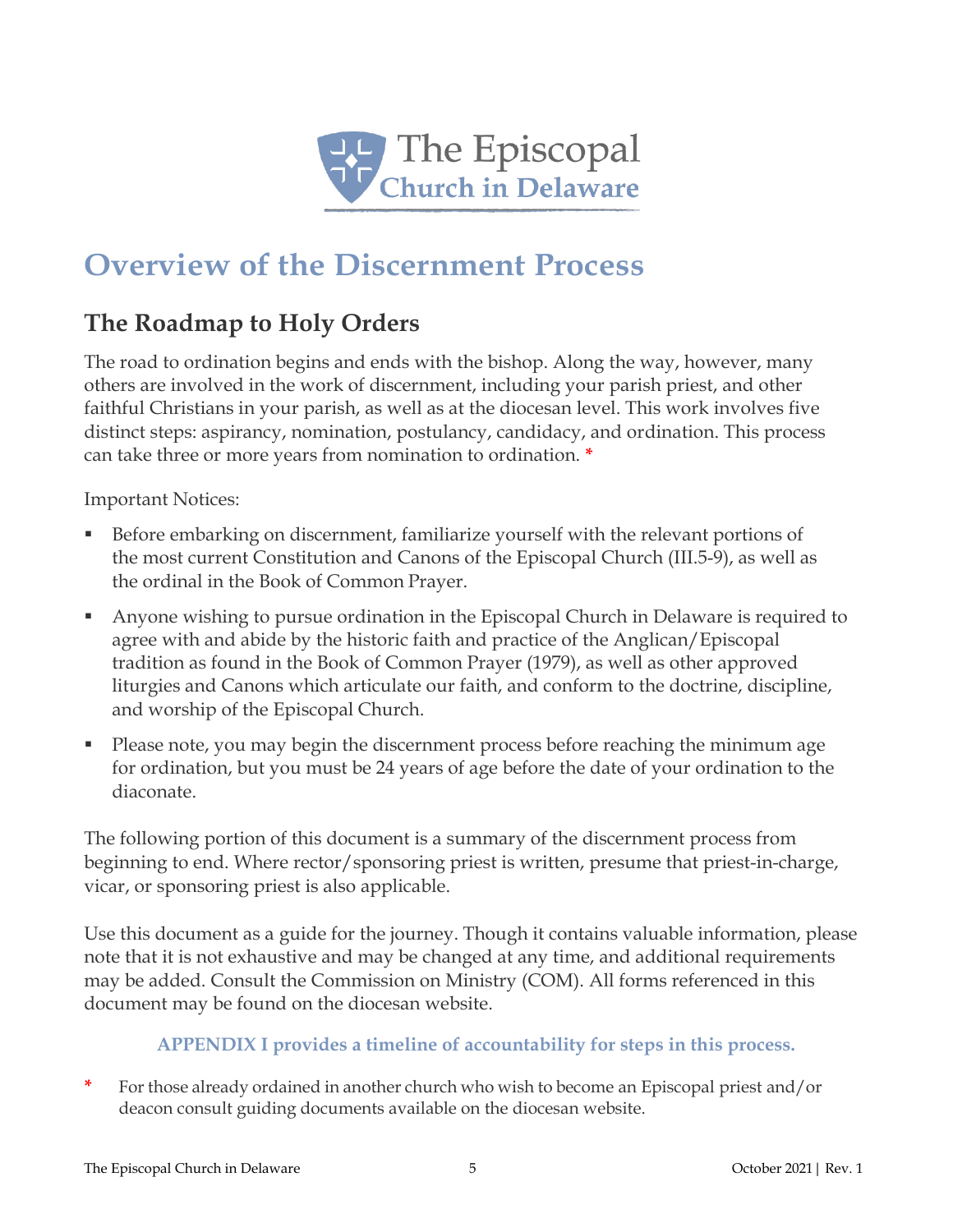

## **Overview of the Discernment Process**

## **The Roadmap to Holy Orders**

The road to ordination begins and ends with the bishop. Along the way, however, many others are involved in the work of discernment, including your parish priest, and other faithful Christians in your parish, as well as at the diocesan level. This work involves five distinct steps: aspirancy, nomination, postulancy, candidacy, and ordination. This process can take three or more years from nomination to ordination. **\***

Important Notices:

- Before embarking on discernment, familiarize yourself with the relevant portions of the most current Constitution and Canons of the Episcopal Church (III.5-9), as well as the ordinal in the Book of Common Prayer.
- Anyone wishing to pursue ordination in the Episcopal Church in Delaware is required to agree with and abide by the historic faith and practice of the Anglican/Episcopal tradition as found in the Book of Common Prayer (1979), as well as other approved liturgies and Canons which articulate our faith, and conform to the doctrine, discipline, and worship of the Episcopal Church.
- Please note, you may begin the discernment process before reaching the minimum age for ordination, but you must be 24 years of age before the date of your ordination to the diaconate.

The following portion of this document is a summary of the discernment process from beginning to end. Where rector/sponsoring priest is written, presume that priest-in-charge, vicar, or sponsoring priest is also applicable.

Use this document as a guide for the journey. Though it contains valuable information, please note that it is not exhaustive and may be changed at any time, and additional requirements may be added. Consult the Commission on Ministry (COM). All forms referenced in this document may be found on the diocesan website.

### **APPENDIX I provides a timeline of accountability for steps in this process.**

**\*** For those already ordained in another church who wish to become an Episcopal priest and/or deacon consult guiding documents available on the diocesan website.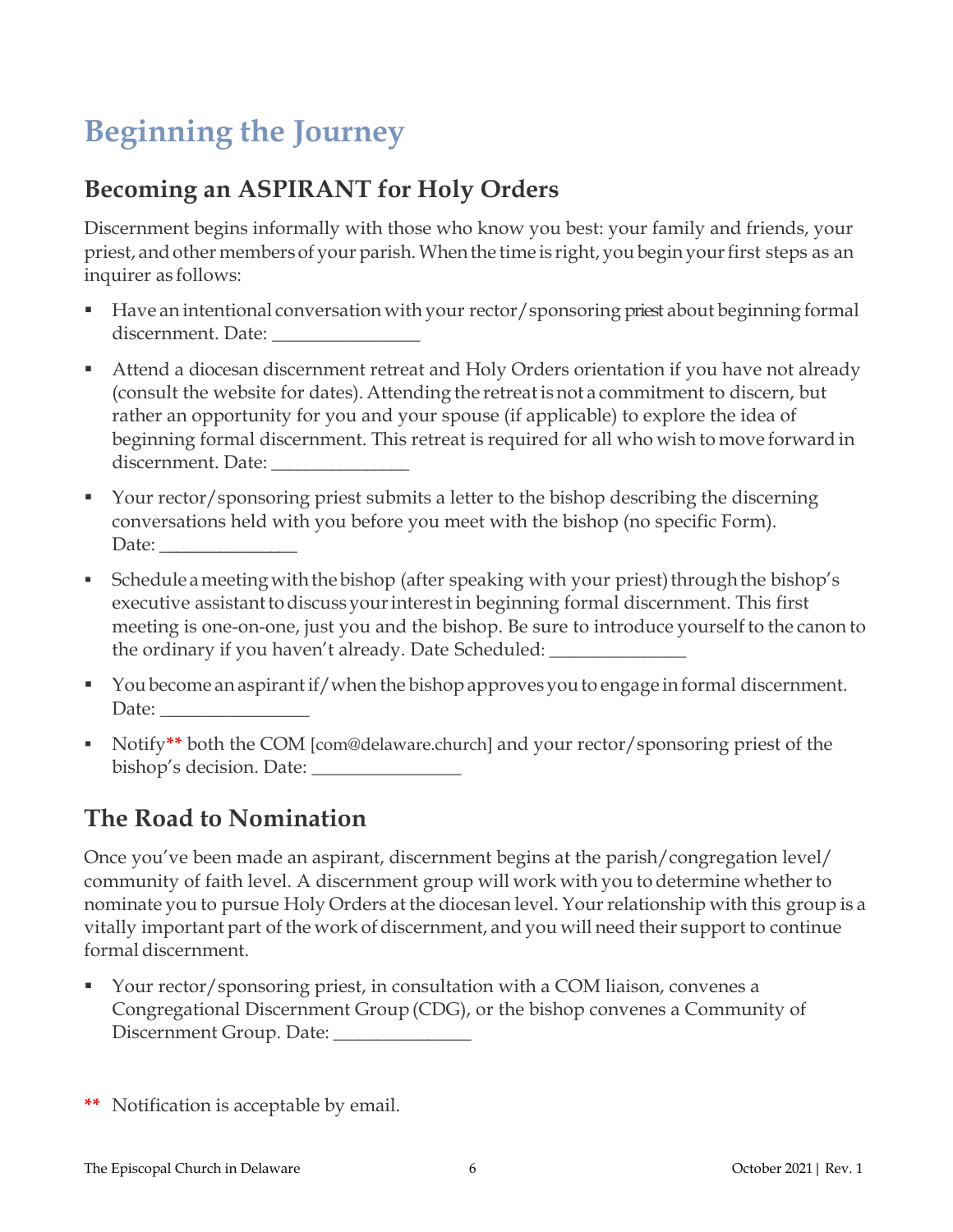## **Beginning the Journey**

## **Becoming an ASPIRANT for Holy Orders**

Discernment begins informally with those who know you best: your family and friends, your priest, and other members of your parish. When the time is right, you begin your first steps as an inquirer as follows:

- Have an intentional conversation with your rector/sponsoring priest about beginning formal discernment. Date: \_\_\_\_\_\_\_\_\_\_\_\_\_\_\_\_
- Attend a diocesan discernment retreat and Holy Orders orientation if you have not already (consult the website for dates). Attending the retreat is not a commitment to discern, but rather an opportunity for you and your spouse (if applicable) to explore the idea of beginning formal discernment. This retreat is required for all who wish to move forward in discernment. Date: \_\_\_\_\_\_\_\_\_\_\_\_\_\_\_\_
- Your rector/sponsoring priest submits a letter to the bishop describing the discerning conversations held with you before you meet with the bishop (no specific Form). Date:
- Schedule a meeting with the bishop (after speaking with your priest) through the bishop's executive assistant to discuss your interest in beginning formal discernment. This first meeting is one-on-one, just you and the bishop. Be sure to introduce yourself to the canon to the ordinary if you haven't already. Date Scheduled:
- You become an aspirant if/when the bishop approves you to engage in formal discernment. Date:
- Notify**\*\*** both the COM [com@delaware.church] and your rector/sponsoring priest of the bishop's decision. Date: \_\_\_\_\_\_\_\_\_\_\_\_\_\_\_\_

## **The Road to Nomination**

Once you've been made an aspirant, discernment begins at the parish/congregation level/ community of faith level. A discernment group will work with you to determine whether to nominate you to pursue Holy Orders at the diocesan level. Yourrelationship with this group is a vitally important part of the work of discernment, and you will need their support to continue formal discernment.

- Your rector/sponsoring priest, in consultation with a COM liaison, convenes a Congregational Discernment Group(CDG), or the bishop convenes a Community of Discernment Group. Date:
- **\*\*** Notification is acceptable by email.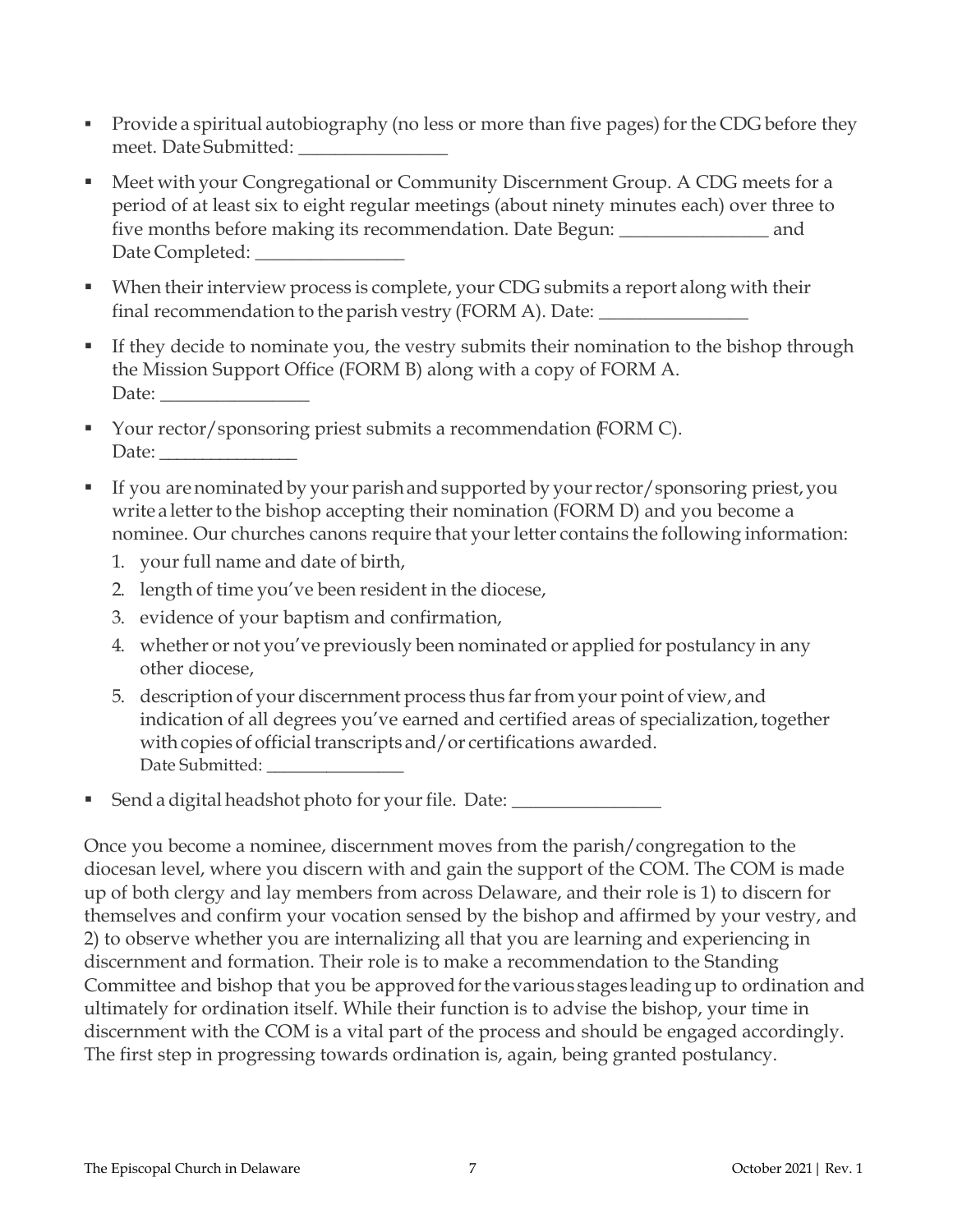- Provide a spiritual autobiography (no less or more than five pages) for the CDG before they meet. Date Submitted: \_\_\_\_\_\_\_\_\_\_\_\_\_\_\_\_
- Meet with your Congregational or Community Discernment Group. A CDG meets for a period of at least six to eight regular meetings (about ninety minutes each) over three to five months before making its recommendation. Date Begun: \_\_\_\_\_\_\_\_\_\_\_\_\_\_\_\_ and Date Completed:
- When their interview process is complete, your CDG submits a report along with their final recommendation to the parish vestry (FORM A). Date:
- If they decide to nominate you, the vestry submits their nomination to the bishop through the Mission Support Office (FORM B) along with a copy of FORM A. Date:
- Your rector/sponsoring priest submits a recommendation (FORM C). Date: \_\_\_\_\_\_\_\_\_\_\_\_\_\_\_\_
- If you are nominated by your parish and supported by your rector/sponsoring priest, you write a letter to the bishop accepting their nomination (FORM D) and you become a nominee. Our churches canons require that your letter contains the following information:
	- 1. your full name and date of birth,
	- 2. length of time you've been resident in the diocese,
	- 3. evidence of your baptism and confirmation,
	- 4. whether or not you've previously been nominated or applied for postulancy in any other diocese,
	- 5. description of your discernment process thus farfrom your point of view, and indication of all degrees you've earned and certified areas of specialization, together with copies of official transcripts and/or certifications awarded. Date Submitted: \_\_\_\_\_\_\_\_\_\_\_\_\_\_\_\_
- Send a digital headshot photo for your file. Date: \_\_\_\_\_\_\_\_\_\_\_\_\_\_\_\_\_\_\_\_\_\_\_\_\_\_\_\_\_

Once you become a nominee, discernment moves from the parish/congregation to the diocesan level, where you discern with and gain the support of the COM. The COM is made up of both clergy and lay members from across Delaware, and their role is 1) to discern for themselves and confirm your vocation sensed by the bishop and affirmed by your vestry, and 2) to observe whether you are internalizing all that you are learning and experiencing in discernment and formation. Their role is to make a recommendation to the Standing Committee and bishop that you be approved for the various stages leading up to ordination and ultimately for ordination itself. While their function is to advise the bishop, your time in discernment with the COM is a vital part of the process and should be engaged accordingly. The first step in progressing towards ordination is, again, being granted postulancy.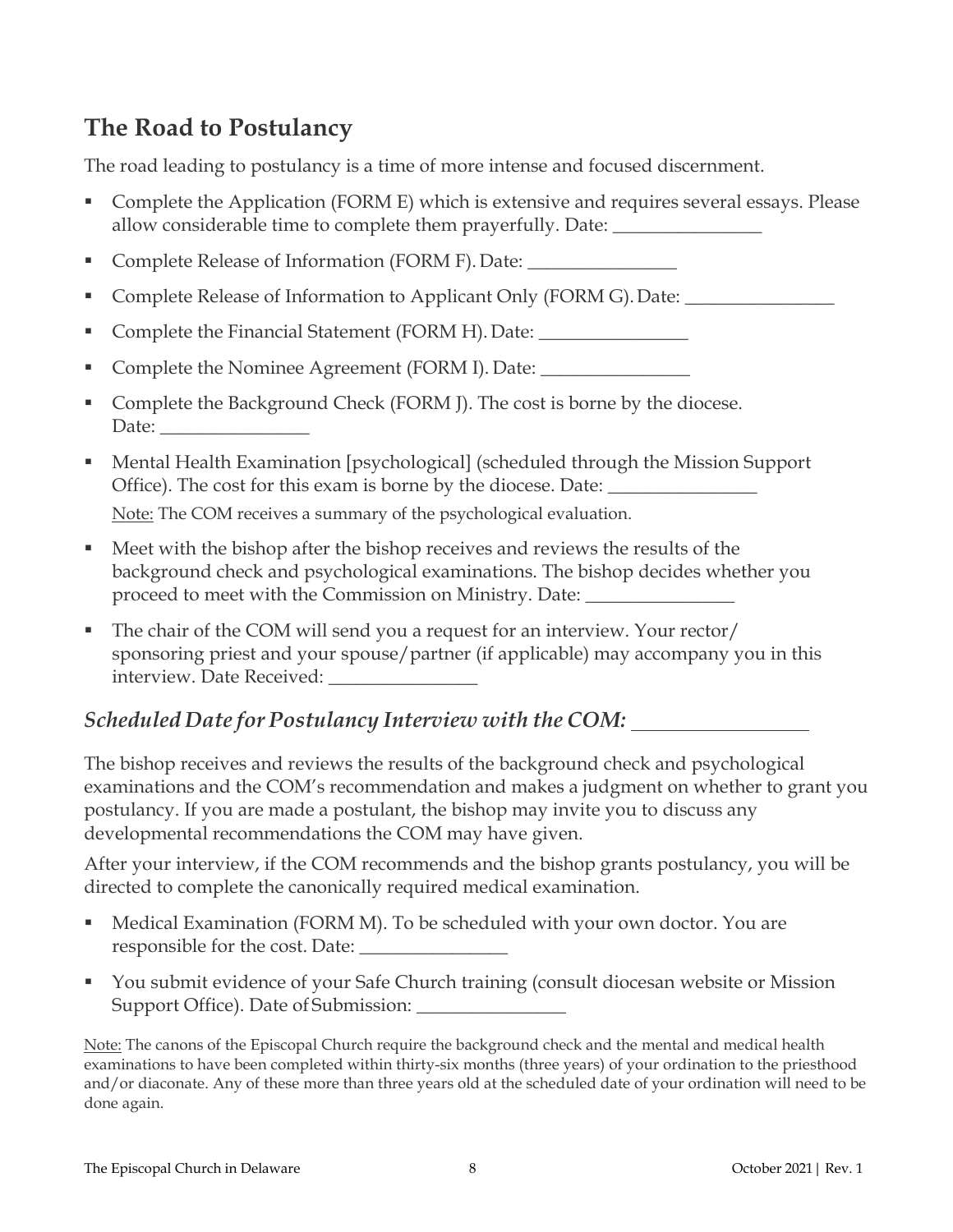## **The Road to Postulancy**

The road leading to postulancy is a time of more intense and focused discernment.

- Complete the Application (FORM E) which is extensive and requires several essays. Please allow considerable time to complete them prayerfully. Date: \_\_\_\_\_\_\_\_\_\_\_\_\_\_\_\_\_\_\_\_
- **Complete Release of Information (FORM F). Date:**
- Complete Release of Information to Applicant Only (FORM G). Date:
- Complete the Financial Statement (FORM H). Date: \_\_\_\_\_\_\_\_\_\_\_\_\_\_\_\_\_\_\_\_\_\_\_\_\_\_\_\_\_
- Complete the Nominee Agreement (FORM I). Date:
- Complete the Background Check (FORM J). The cost is borne by the diocese. Date: \_\_\_\_\_\_\_\_\_\_\_\_\_\_\_\_
- Mental Health Examination [psychological] (scheduled through the Mission Support Office). The cost for this exam is borne by the diocese. Date: \_\_\_\_\_\_\_\_\_\_\_\_\_\_\_\_\_

Note: The COM receives a summary of the psychological evaluation.

- Meet with the bishop after the bishop receives and reviews the results of the background check and psychological examinations. The bishop decides whether you proceed to meet with the Commission on Ministry. Date: \_\_\_\_\_\_\_\_\_\_\_\_\_\_\_\_\_\_\_\_\_\_\_\_\_
- The chair of the COM will send you a request for an interview. Your rector/ sponsoring priest and your spouse/partner (if applicable) may accompany you in this interview. Date Received:

## *Scheduled Date for Postulancy Interview with the COM:*

The bishop receives and reviews the results of the background check and psychological examinations and the COM's recommendation and makes a judgment on whether to grant you postulancy. If you are made a postulant, the bishop may invite you to discuss any developmental recommendations the COM may have given.

After your interview, if the COM recommends and the bishop grants postulancy, you will be directed to complete the canonically required medical examination.

- Medical Examination (FORM M). To be scheduled with your own doctor. You are responsible for the cost. Date:
- You submit evidence of your Safe Church training (consult diocesan website or Mission Support Office). Date of Submission: \_\_\_\_\_\_\_\_\_\_\_\_\_\_\_\_

Note: The canons of the Episcopal Church require the background check and the mental and medical health examinations to have been completed within thirty-six months (three years) of your ordination to the priesthood and/or diaconate. Any of these more than three years old at the scheduled date of your ordination will need to be done again.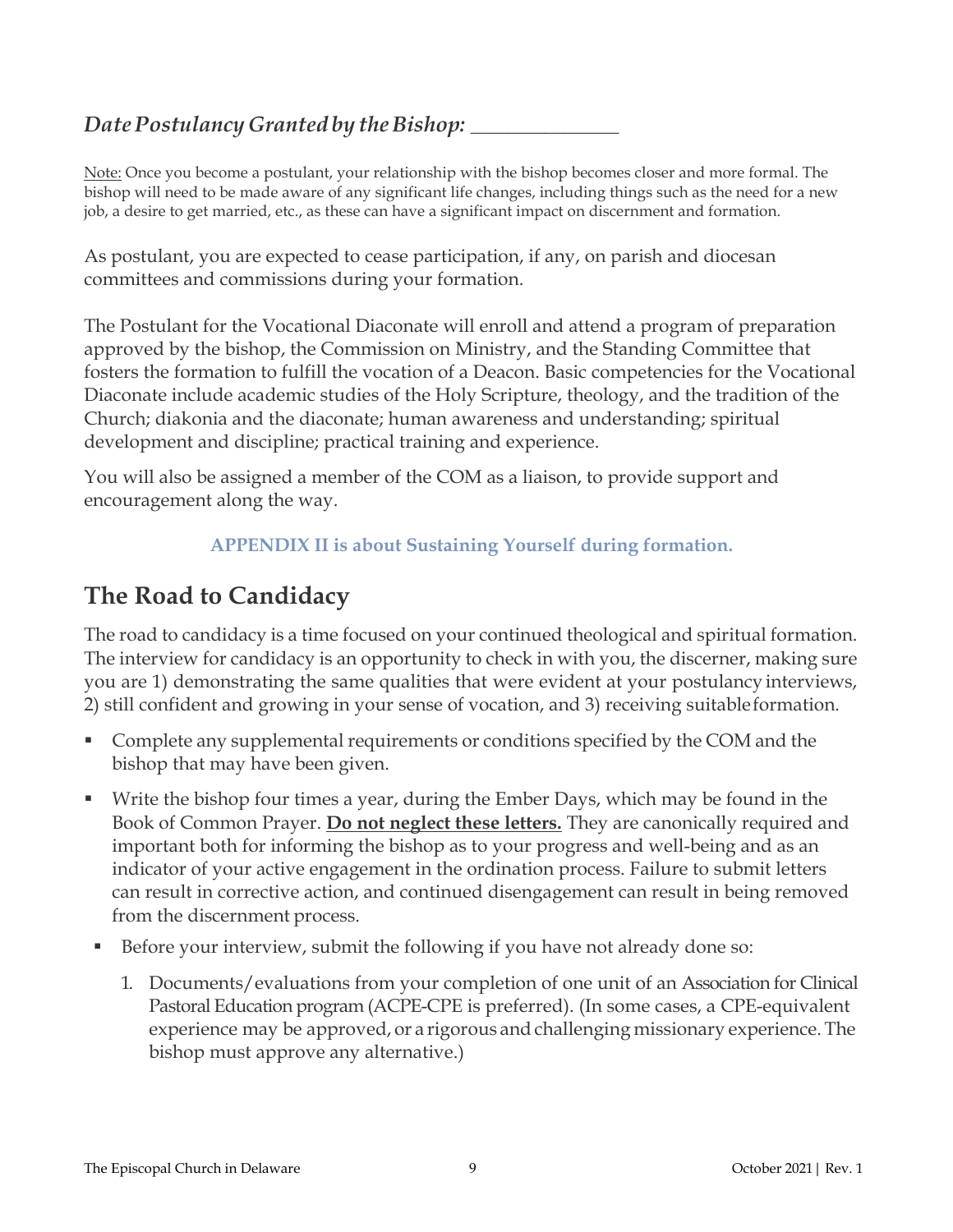## *Date Postulancy Granted by the Bishop:*

Note: Once you become a postulant, your relationship with the bishop becomes closer and more formal. The bishop will need to be made aware of any significant life changes, including things such as the need for a new job, a desire to get married, etc., as these can have a significant impact on discernment and formation.

As postulant, you are expected to cease participation, if any, on parish and diocesan committees and commissions during your formation.

The Postulant for the Vocational Diaconate will enroll and attend a program of preparation approved by the bishop, the Commission on Ministry, and the Standing Committee that fosters the formation to fulfill the vocation of a Deacon. Basic competencies for the Vocational Diaconate include academic studies of the Holy Scripture, theology, and the tradition of the Church; diakonia and the diaconate; human awareness and understanding; spiritual development and discipline; practical training and experience.

You will also be assigned a member of the COM as a liaison, to provide support and encouragement along the way.

#### **APPENDIX II is about Sustaining Yourself during formation.**

## **The Road to Candidacy**

The road to candidacy is a time focused on your continued theological and spiritual formation. The interview for candidacy is an opportunity to check in with you, the discerner, making sure you are 1) demonstrating the same qualities that were evident at your postulancy interviews, 2) still confident and growing in your sense of vocation, and 3) receiving suitableformation.

- Complete any supplemental requirements or conditions specified by the COM and the bishop that may have been given.
- Write the bishop four times a year, during the Ember Days, which may be found in the Book of Common Prayer. **Do not neglect these letters.** They are canonically required and important both for informing the bishop as to your progress and well-being and as an indicator of your active engagement in the ordination process. Failure to submit letters can result in corrective action, and continued disengagement can result in being removed from the discernment process.
- Before your interview, submit the following if you have not already done so:
	- 1. Documents/evaluations from your completion of one unit of an Association for Clinical Pastoral Education program (ACPE-CPE is preferred). (In some cases, a CPE-equivalent experience may be approved, or a rigorous and challenging missionary experience. The bishop must approve any alternative.)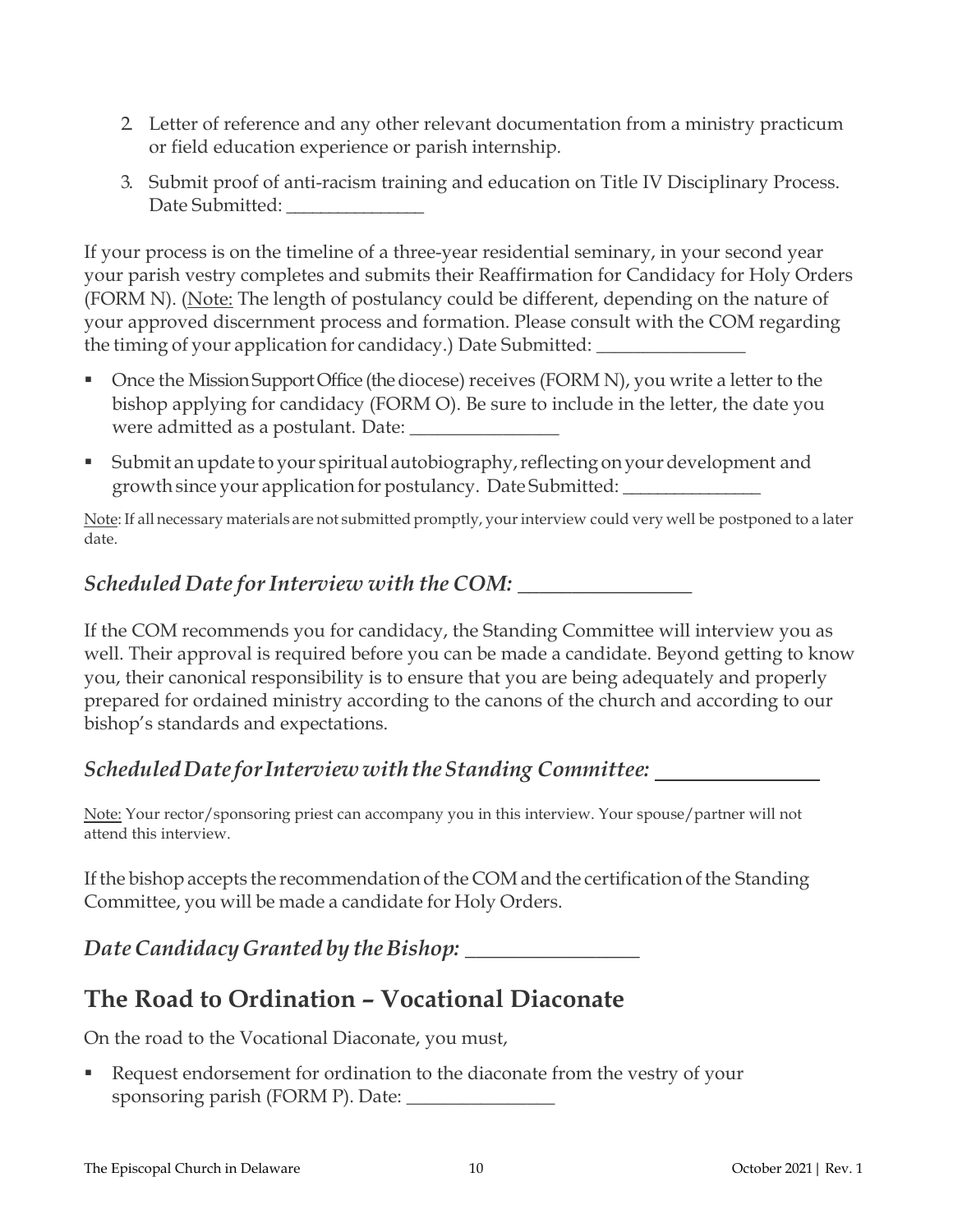- 2. Letter of reference and any other relevant documentation from a ministry practicum or field education experience or parish internship.
- 3. Submit proof of anti-racism training and education on Title IV Disciplinary Process. Date Submitted:

If your process is on the timeline of a three-year residential seminary, in your second year your parish vestry completes and submits their Reaffirmation for Candidacy for Holy Orders (FORM N). (Note: The length of postulancy could be different, depending on the nature of your approved discernment process and formation. Please consult with the COM regarding the timing of your application for candidacy.) Date Submitted:

- Once the Mission Support Office (the diocese) receives (FORM N), you write a letter to the bishop applying for candidacy (FORM O). Be sure to include in the letter, the date you were admitted as a postulant. Date: \_\_\_\_\_\_\_\_\_\_\_\_\_\_\_\_
- **Submit an update to your spiritual autobiography, reflecting on your development and** growth since your application for postulancy. Date Submitted: \_\_\_\_\_\_\_\_\_\_\_\_\_\_\_\_

Note: If all necessary materials are not submitted promptly, your interview could very well be postponed to a later date.

### *Scheduled Date forInterview with the COM:* \_\_\_\_\_\_\_\_\_\_\_\_\_\_\_\_

If the COM recommends you for candidacy, the Standing Committee will interview you as well. Their approval is required before you can be made a candidate. Beyond getting to know you, their canonical responsibility is to ensure that you are being adequately and properly prepared for ordained ministry according to the canons of the church and according to our bishop's standards and expectations.

## *ScheduledDate forInterview withtheStanding Committee:*

Note: Your rector/sponsoring priest can accompany you in this interview. Your spouse/partner will not attend this interview.

If the bishop accepts the recommendation of the COM and the certification of the Standing Committee, you will be made a candidate for Holy Orders.

*Date Candidacy Granted by the Bishop:* 

## **The Road to Ordination – Vocational Diaconate**

On the road to the Vocational Diaconate, you must,

 Request endorsement for ordination to the diaconate from the vestry of your sponsoring parish (FORM P). Date: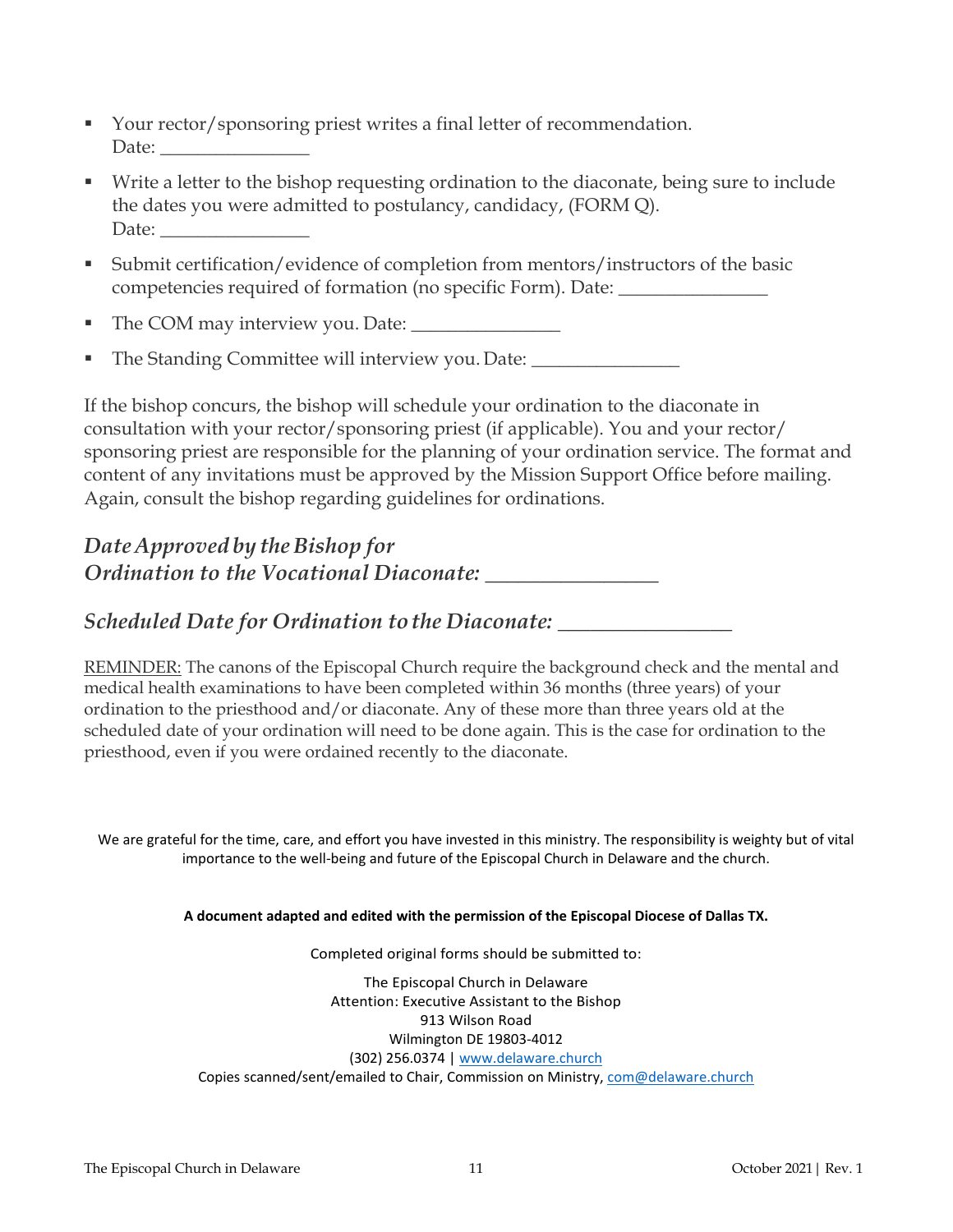- Your rector/sponsoring priest writes a final letter of recommendation. Date:
- Write a letter to the bishop requesting ordination to the diaconate, being sure to include the dates you were admitted to postulancy, candidacy, (FORM Q). Date:
- Submit certification/evidence of completion from mentors/instructors of the basic competencies required of formation (no specific Form). Date: \_\_\_\_\_\_\_\_\_\_\_\_\_\_\_\_
- The COM may interview you. Date: \_\_\_\_\_\_\_\_\_\_\_\_\_\_\_\_
- The Standing Committee will interview you. Date: \_\_\_\_\_\_\_\_\_\_\_\_\_\_\_\_

If the bishop concurs, the bishop will schedule your ordination to the diaconate in consultation with your rector/sponsoring priest (if applicable). You and your rector/ sponsoring priest are responsible for the planning of your ordination service. The format and content of any invitations must be approved by the Mission Support Office before mailing. Again, consult the bishop regarding guidelines for ordinations.

## *Date Approved* by *the Bishop for Ordination to the Vocational Diaconate:* \_\_\_\_\_\_\_\_\_\_\_\_\_\_\_\_

### *Scheduled Date for Ordination tothe Diaconate:* \_\_\_\_\_\_\_\_\_\_\_\_\_\_\_\_

REMINDER: The canons of the Episcopal Church require the background check and the mental and medical health examinations to have been completed within 36 months (three years) of your ordination to the priesthood and/or diaconate. Any of these more than three years old at the scheduled date of your ordination will need to be done again. This is the case for ordination to the priesthood, even if you were ordained recently to the diaconate.

We are grateful for the time, care, and effort you have invested in this ministry. The responsibility is weighty but of vital importance to the well-being and future of the Episcopal Church in Delaware and the church.

#### **A document adapted and edited with the permission of the Episcopal Diocese of Dallas TX.**

Completed original forms should be submitted to:

The Episcopal Church in Delaware Attention: Executive Assistant to the Bishop 913 Wilson Road Wilmington DE 19803-4012 (302) 256.0374 | [www.delaware.church](http://www.delaware.church/) Copies scanned/sent/emailed to Chair, Commission on Ministry[, com@delaware.church](mailto:com@delaware.church)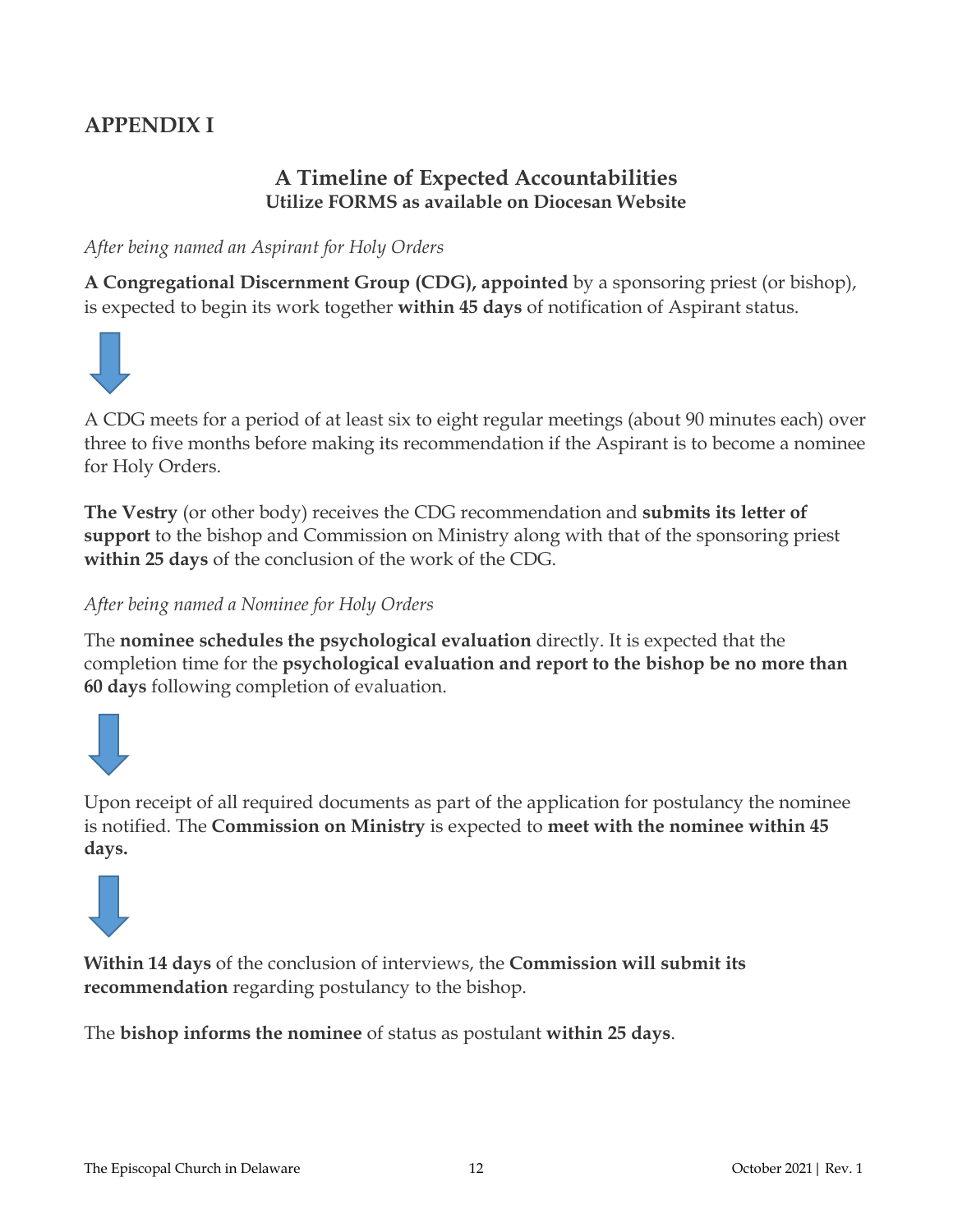## **APPENDIX I**

### **A Timeline of Expected Accountabilities Utilize FORMS as available on Diocesan Website**

#### *After being named an Aspirant for Holy Orders*

**A Congregational Discernment Group (CDG), appointed** by a sponsoring priest (or bishop), is expected to begin its work together **within 45 days** of notification of Aspirant status.



A CDG meets for a period of at least six to eight regular meetings (about 90 minutes each) over three to five months before making its recommendation if the Aspirant is to become a nominee for Holy Orders.

**The Vestry** (or other body) receives the CDG recommendation and **submits its letter of support** to the bishop and Commission on Ministry along with that of the sponsoring priest **within 25 days** of the conclusion of the work of the CDG.

*After being named a Nominee for Holy Orders*

The **nominee schedules the psychological evaluation** directly. It is expected that the completion time for the **psychological evaluation and report to the bishop be no more than 60 days** following completion of evaluation.



Upon receipt of all required documents as part of the application for postulancy the nominee is notified. The **Commission on Ministry** is expected to **meet with the nominee within 45 days.**



**Within 14 days** of the conclusion of interviews, the **Commission will submit its recommendation** regarding postulancy to the bishop.

The **bishop informs the nominee** of status as postulant **within 25 days**.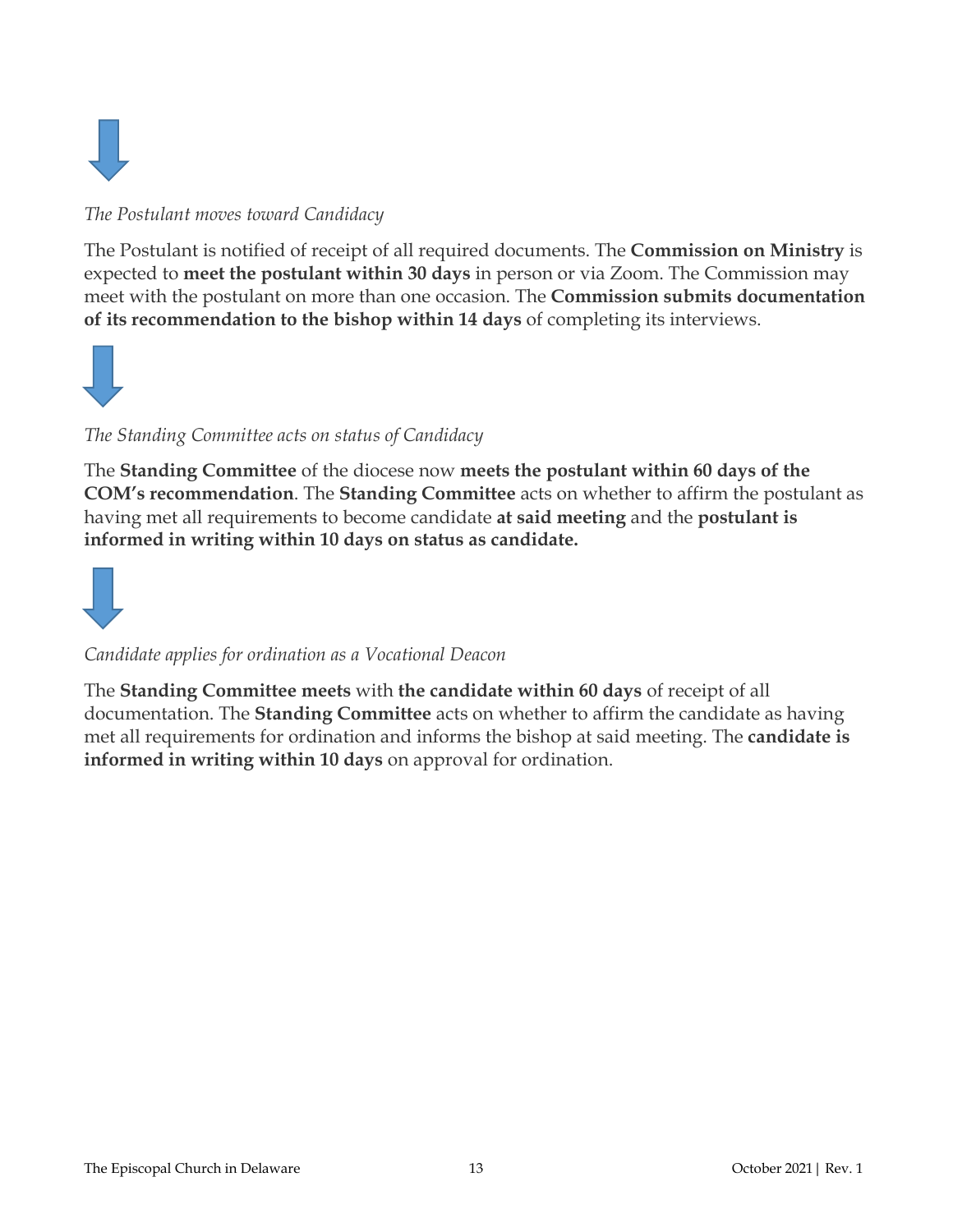

#### *The Postulant moves toward Candidacy*

The Postulant is notified of receipt of all required documents. The **Commission on Ministry** is expected to **meet the postulant within 30 days** in person or via Zoom. The Commission may meet with the postulant on more than one occasion. The **Commission submits documentation of its recommendation to the bishop within 14 days** of completing its interviews.



#### *The Standing Committee acts on status of Candidacy*

The **Standing Committee** of the diocese now **meets the postulant within 60 days of the COM's recommendation**. The **Standing Committee** acts on whether to affirm the postulant as having met all requirements to become candidate **at said meeting** and the **postulant is informed in writing within 10 days on status as candidate.**



#### *Candidate applies for ordination as a Vocational Deacon*

The **Standing Committee meets** with **the candidate within 60 days** of receipt of all documentation. The **Standing Committee** acts on whether to affirm the candidate as having met all requirements for ordination and informs the bishop at said meeting. The **candidate is informed in writing within 10 days** on approval for ordination.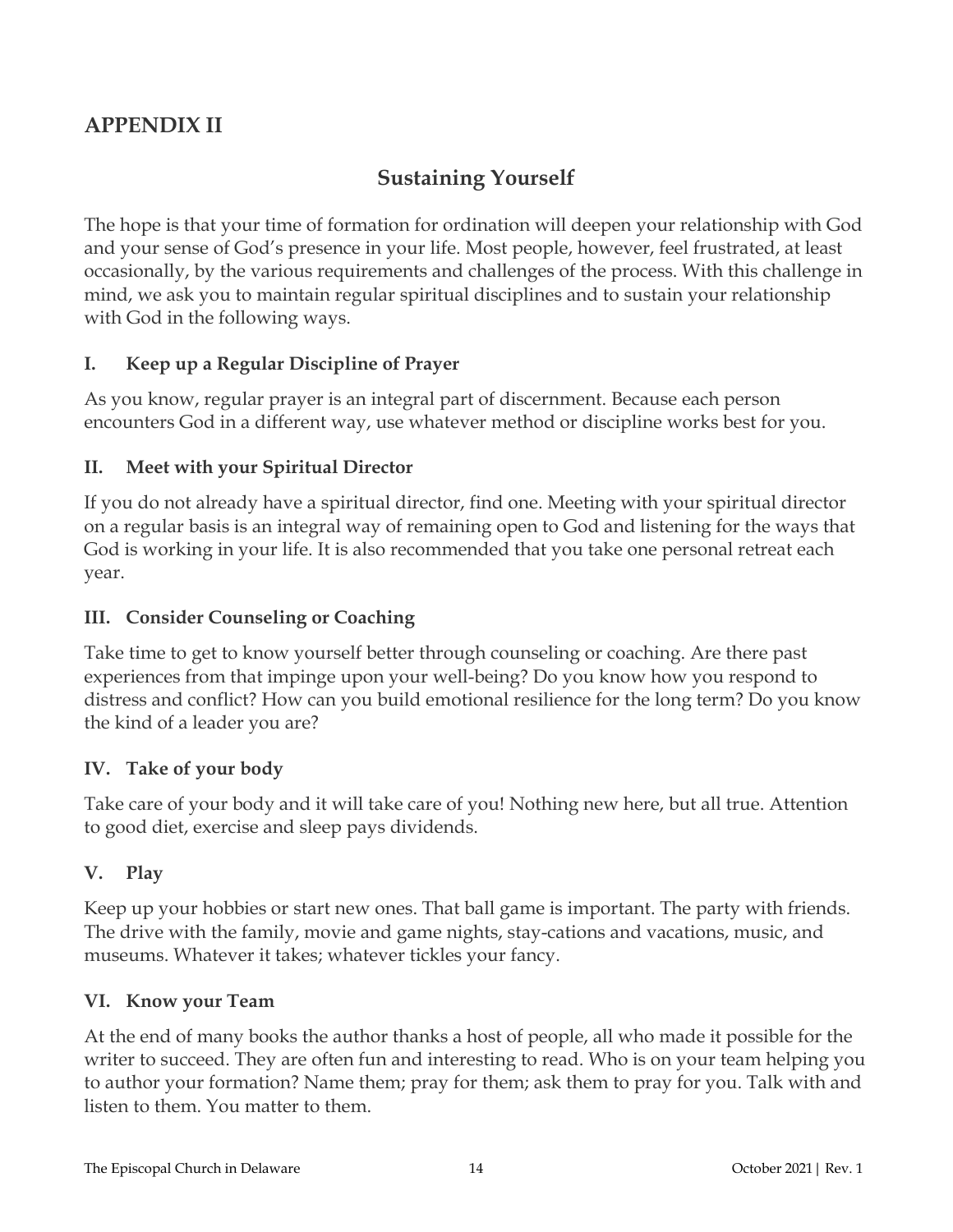## **APPENDIX II**

## **Sustaining Yourself**

The hope is that your time of formation for ordination will deepen your relationship with God and your sense of God's presence in your life. Most people, however, feel frustrated, at least occasionally, by the various requirements and challenges of the process. With this challenge in mind, we ask you to maintain regular spiritual disciplines and to sustain your relationship with God in the following ways.

#### **I. Keep up a Regular Discipline of Prayer**

As you know, regular prayer is an integral part of discernment. Because each person encounters God in a different way, use whatever method or discipline works best for you.

#### **II. Meet with your Spiritual Director**

If you do not already have a spiritual director, find one. Meeting with your spiritual director on a regular basis is an integral way of remaining open to God and listening for the ways that God is working in your life. It is also recommended that you take one personal retreat each year.

#### **III. Consider Counseling or Coaching**

Take time to get to know yourself better through counseling or coaching. Are there past experiences from that impinge upon your well-being? Do you know how you respond to distress and conflict? How can you build emotional resilience for the long term? Do you know the kind of a leader you are?

#### **IV. Take of your body**

Take care of your body and it will take care of you! Nothing new here, but all true. Attention to good diet, exercise and sleep pays dividends.

#### **V. Play**

Keep up your hobbies or start new ones. That ball game is important. The party with friends. The drive with the family, movie and game nights, stay-cations and vacations, music, and museums. Whatever it takes; whatever tickles your fancy.

#### **VI. Know your Team**

At the end of many books the author thanks a host of people, all who made it possible for the writer to succeed. They are often fun and interesting to read. Who is on your team helping you to author your formation? Name them; pray for them; ask them to pray for you. Talk with and listen to them. You matter to them.